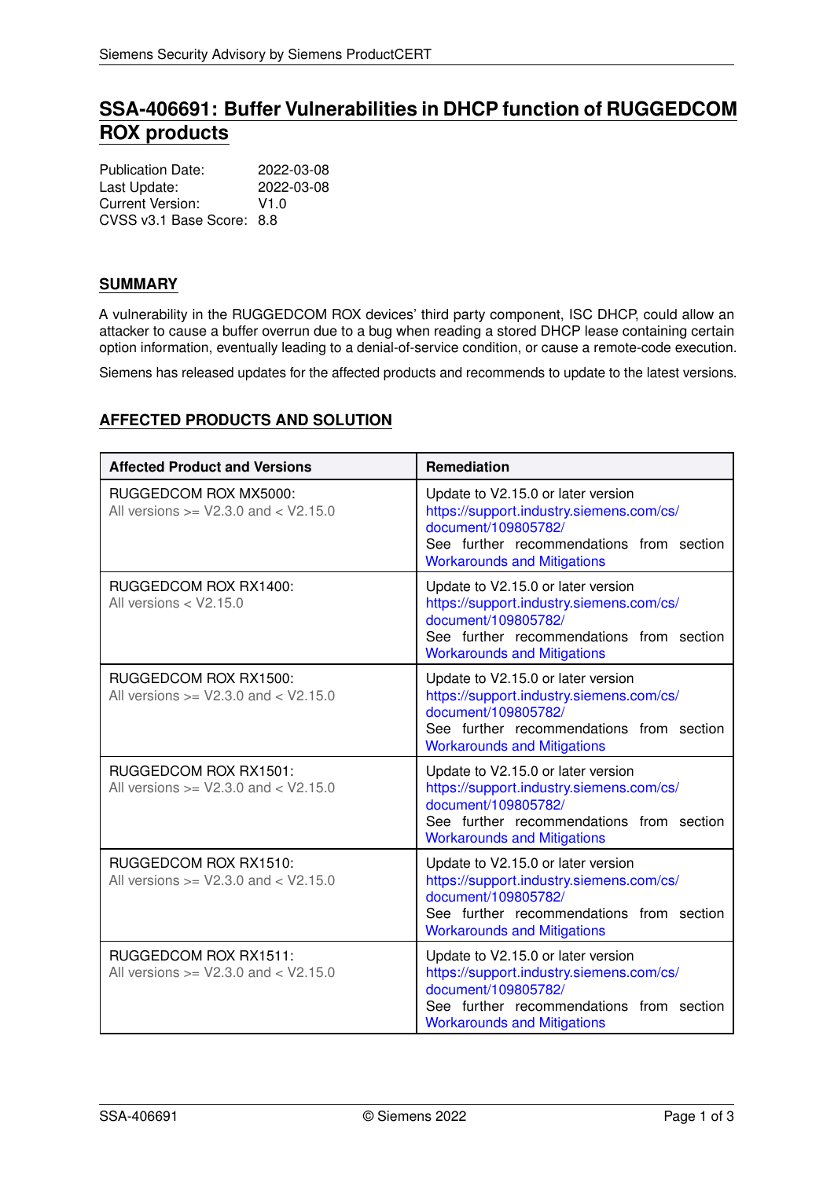# **SSA-406691: Buffer Vulnerabilities in DHCP function of RUGGEDCOM ROX products**

| <b>Publication Date:</b>  | 2022-03-08 |
|---------------------------|------------|
| Last Update:              | 2022-03-08 |
| Current Version:          | V1.0       |
| CVSS v3.1 Base Score: 8.8 |            |

## **SUMMARY**

A vulnerability in the RUGGEDCOM ROX devices' third party component, ISC DHCP, could allow an attacker to cause a buffer overrun due to a bug when reading a stored DHCP lease containing certain option information, eventually leading to a denial-of-service condition, or cause a remote-code execution.

Siemens has released updates for the affected products and recommends to update to the latest versions.

## **AFFECTED PRODUCTS AND SOLUTION**

| <b>Affected Product and Versions</b>                                     | <b>Remediation</b>                                                                                                                                                                      |
|--------------------------------------------------------------------------|-----------------------------------------------------------------------------------------------------------------------------------------------------------------------------------------|
| RUGGEDCOM ROX MX5000:<br>All versions $>=$ V2.3.0 and $<$ V2.15.0        | Update to V2.15.0 or later version<br>https://support.industry.siemens.com/cs/<br>document/109805782/<br>See further recommendations from section<br><b>Workarounds and Mitigations</b> |
| RUGGEDCOM ROX RX1400:<br>All versions $<$ V2.15.0                        | Update to V2.15.0 or later version<br>https://support.industry.siemens.com/cs/<br>document/109805782/<br>See further recommendations from section<br><b>Workarounds and Mitigations</b> |
| RUGGEDCOM ROX RX1500:<br>All versions $>=$ V2.3.0 and $<$ V2.15.0        | Update to V2.15.0 or later version<br>https://support.industry.siemens.com/cs/<br>document/109805782/<br>See further recommendations from section<br><b>Workarounds and Mitigations</b> |
| <b>RUGGEDCOM ROX RX1501:</b><br>All versions $>=$ V2.3.0 and $<$ V2.15.0 | Update to V2.15.0 or later version<br>https://support.industry.siemens.com/cs/<br>document/109805782/<br>See further recommendations from section<br><b>Workarounds and Mitigations</b> |
| RUGGEDCOM ROX RX1510:<br>All versions $>=$ V2.3.0 and $<$ V2.15.0        | Update to V2.15.0 or later version<br>https://support.industry.siemens.com/cs/<br>document/109805782/<br>See further recommendations from section<br><b>Workarounds and Mitigations</b> |
| <b>RUGGEDCOM ROX RX1511:</b><br>All versions $>=$ V2.3.0 and $<$ V2.15.0 | Update to V2.15.0 or later version<br>https://support.industry.siemens.com/cs/<br>document/109805782/<br>See further recommendations from section<br><b>Workarounds and Mitigations</b> |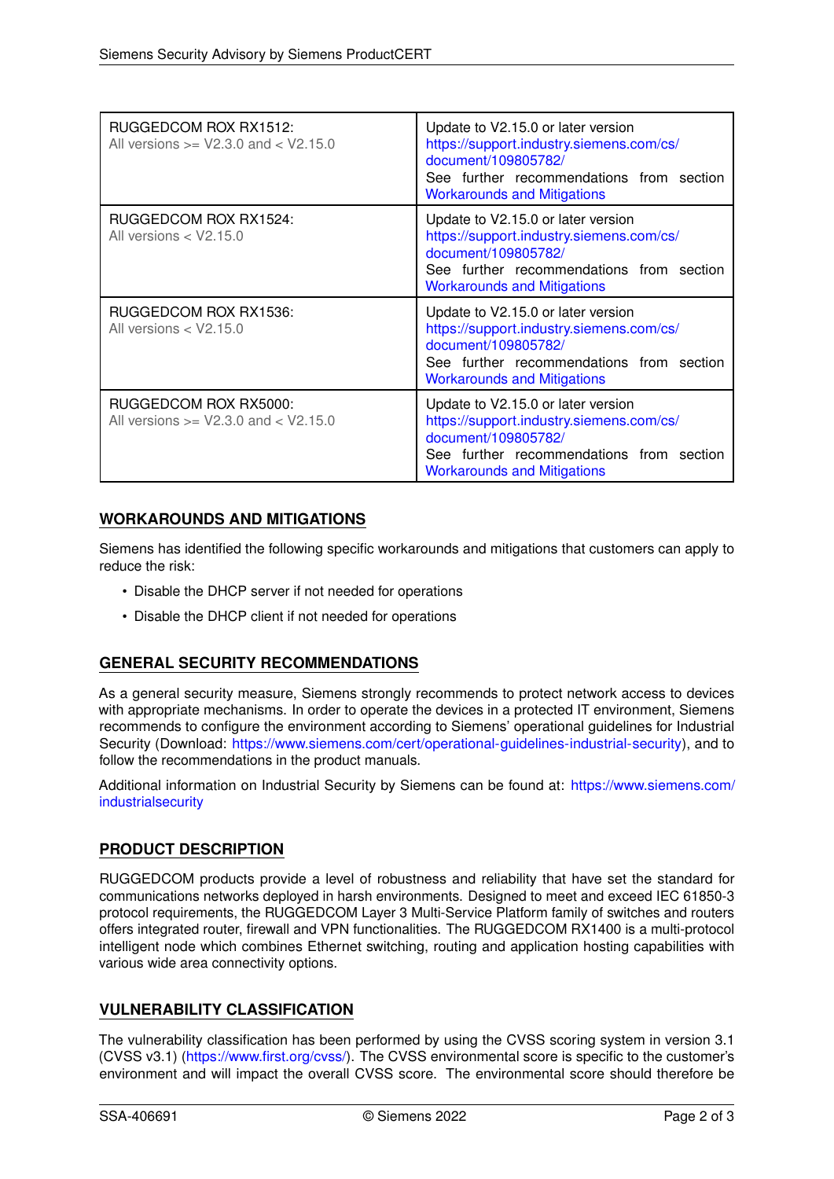| RUGGEDCOM ROX RX1512:<br>All versions $>=$ V2.3.0 and $<$ V2.15.0 | Update to V2.15.0 or later version<br>https://support.industry.siemens.com/cs/<br>document/109805782/<br>See further recommendations from section<br><b>Workarounds and Mitigations</b> |
|-------------------------------------------------------------------|-----------------------------------------------------------------------------------------------------------------------------------------------------------------------------------------|
| RUGGEDCOM ROX RX1524:<br>All versions $<$ V2.15.0                 | Update to V2.15.0 or later version<br>https://support.industry.siemens.com/cs/<br>document/109805782/<br>See further recommendations from section<br><b>Workarounds and Mitigations</b> |
| RUGGEDCOM ROX RX1536:<br>All versions $<$ V2.15.0                 | Update to V2.15.0 or later version<br>https://support.industry.siemens.com/cs/<br>document/109805782/<br>See further recommendations from section<br><b>Workarounds and Mitigations</b> |
| RUGGEDCOM ROX RX5000:<br>All versions $>=$ V2.3.0 and $<$ V2.15.0 | Update to V2.15.0 or later version<br>https://support.industry.siemens.com/cs/<br>document/109805782/<br>See further recommendations from section<br><b>Workarounds and Mitigations</b> |

## <span id="page-1-0"></span>**WORKAROUNDS AND MITIGATIONS**

Siemens has identified the following specific workarounds and mitigations that customers can apply to reduce the risk:

- Disable the DHCP server if not needed for operations
- Disable the DHCP client if not needed for operations

## **GENERAL SECURITY RECOMMENDATIONS**

As a general security measure, Siemens strongly recommends to protect network access to devices with appropriate mechanisms. In order to operate the devices in a protected IT environment, Siemens recommends to configure the environment according to Siemens' operational guidelines for Industrial Security (Download: [https://www.siemens.com/cert/operational-guidelines-industrial-security\)](https://www.siemens.com/cert/operational-guidelines-industrial-security), and to follow the recommendations in the product manuals.

Additional information on Industrial Security by Siemens can be found at: [https://www.siemens.com/](https://www.siemens.com/industrialsecurity) [industrialsecurity](https://www.siemens.com/industrialsecurity)

## **PRODUCT DESCRIPTION**

RUGGEDCOM products provide a level of robustness and reliability that have set the standard for communications networks deployed in harsh environments. Designed to meet and exceed IEC 61850-3 protocol requirements, the RUGGEDCOM Layer 3 Multi-Service Platform family of switches and routers offers integrated router, firewall and VPN functionalities. The RUGGEDCOM RX1400 is a multi-protocol intelligent node which combines Ethernet switching, routing and application hosting capabilities with various wide area connectivity options.

### **VULNERABILITY CLASSIFICATION**

The vulnerability classification has been performed by using the CVSS scoring system in version 3.1 (CVSS v3.1) [\(https://www.first.org/cvss/\)](https://www.first.org/cvss/). The CVSS environmental score is specific to the customer's environment and will impact the overall CVSS score. The environmental score should therefore be